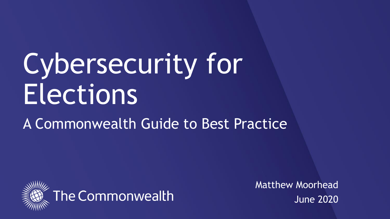# Cybersecurity for **Elections**

#### A Commonwealth Guide to Best Practice





Matthew Moorhead June 2020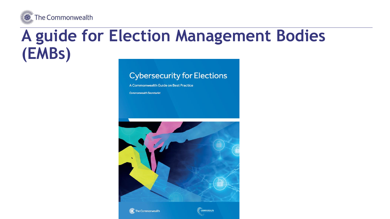

#### A guide for Election Management Bodies (EMBs)

#### **Cybersecurity for Elections**

A Commonwealth Guide on Best Practice

**Commonwealth Secretariat** 



**C** The Commonwealth

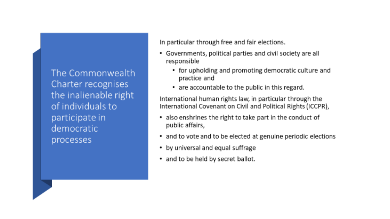The Commonwealth Charter recognises the inalienable right of individuals to participate in democratic processes

In particular through free and fair elections.

- Governments, political parties and civil society are all responsible
	- for upholding and promoting democratic culture and practice and
	- are accountable to the public in this regard.

International human rights law, in particular through the International Covenant on Civil and Political Rights (ICCPR),

- also enshrines the right to take part in the conduct of public affairs,
- and to vote and to be elected at genuine periodic elections
- by universal and equal suffrage
- . and to be held by secret ballot.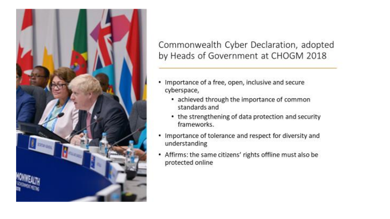

#### Commonwealth Cyber Declaration, adopted by Heads of Government at CHOGM 2018

- Importance of a free, open, inclusive and secure ٠ cyberspace,
	- achieved through the importance of common standards and
	- the strengthening of data protection and security frameworks.
- Importance of tolerance and respect for diversity and ٠ understanding
- Affirms: the same citizens' rights offline must also be protected online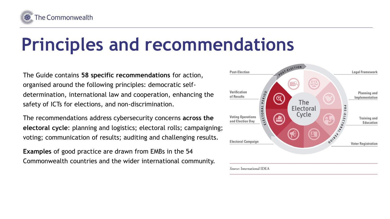

## **Principles and recommendations**

The Guide contains **58 specific recommendations** for action, organised around the following principles: democratic selfdetermination, international law and cooperation, enhancing the safety of ICTs for elections, and non-discrimination.

The recommendations address cybersecurity concerns **across the electoral cycle**: planning and logistics; electoral rolls; campaigning; voting; communication of results; auditing and challenging results.

**Examples** of good practice are drawn from EMBs in the 54 Commonwealth countries and the wider international community.

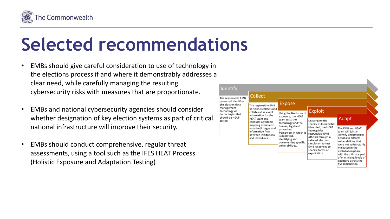

## **Selected recommendations**

- EMBs should give careful consideration to use of technology in the elections process if and where it demonstrably addresses a clear need, while carefully managing the resulting cybersecurity risks with measures that are proportionate.
- EMBs and national cybersecurity agencies should consider whether designation of key election systems as part of critical national infrastructure will improve their security.
- EMBs should conduct comprehensive, regular threat assessments, using a tool such as the IFES HEAT Process (Holistic Exposure and Adaptation Testing)

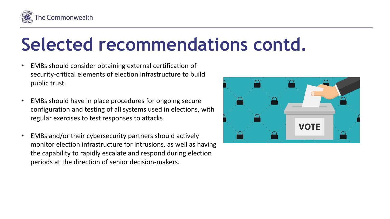

### **Selected recommendations contd.**

- EMBs should consider obtaining external certification of security-critical elements of election infrastructure to build public trust.
- EMBs should have in place procedures for ongoing secure configuration and testing of all systems used in elections, with regular exercises to test responses to attacks.
- EMBs and/or their cybersecurity partners should actively monitor election infrastructure for intrusions, as well as having the capability to rapidly escalate and respond during election periods at the direction of senior decision-makers.

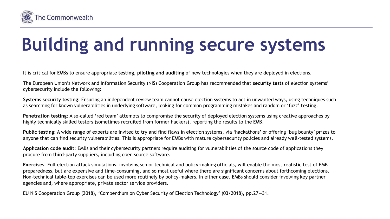

# **Building and running secure systems**

It is critical for EMBs to ensure appropriate **testing, piloting and auditing** of new technologies when they are deployed in elections.

The European Union's Network and Information Security (NIS) Cooperation Group has recommended that **security tests** of election systems' cybersecurity include the following:

**Systems security testing**: Ensuring an independent review team cannot cause election systems to act in unwanted ways, using techniques such as searching for known vulnerabilities in underlying software, looking for common programming mistakes and random or 'fuzz' testing.

**Penetration testing**: A so-called 'red team' attempts to compromise the security of deployed election systems using creative approaches by highly technically skilled testers (sometimes recruited from former hackers), reporting the results to the EMB.

**Public testing**: A wide range of experts are invited to try and find flaws in election systems, via 'hackathons' or offering 'bug bounty' prizes to anyone that can find security vulnerabilities. This is appropriate for EMBs with mature cybersecurity policies and already well-tested systems.

**Application code audit**: EMBs and their cybersecurity partners require auditing for vulnerabilities of the source code of applications they procure from third-party suppliers, including open source software.

**Exercise**s: Full election attack simulations, involving senior technical and policy-making officials, will enable the most realistic test of EMB preparedness, but are expensive and time-consuming, and so most useful where there are significant concerns about forthcoming elections. Non-technical table-top exercises can be used more routinely by policy-makers. In either case, EMBs should consider involving key partner agencies and, where appropriate, private sector service providers.

EU NIS Cooperation Group (2018), 'Compendium on Cyber Security of Election Technology' (03/2018), pp.27—31.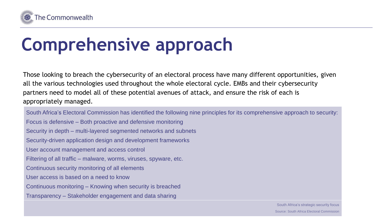

### **Comprehensive approach**

Those looking to breach the cybersecurity of an electoral process have many different opportunities, given all the various technologies used throughout the whole electoral cycle. EMBs and their cybersecurity partners need to model all of these potential avenues of attack, and ensure the risk of each is appropriately managed.

South Africa's Electoral Commission has identified the following nine principles for its comprehensive approach to security: Focus is defensive – Both proactive and defensive monitoring Security in depth – multi-layered segmented networks and subnets Security-driven application design and development frameworks User account management and access control Filtering of all traffic – malware, worms, viruses, spyware, etc. Continuous security monitoring of all elements User access is based on a need to know Continuous monitoring – Knowing when security is breached Transparency – Stakeholder engagement and data sharing

> South Africa's strategic security focus Source: South Africa Electoral Commission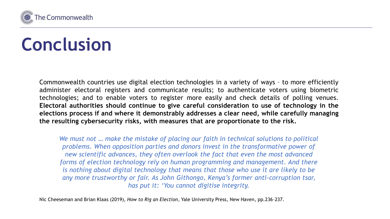

## **Conclusion**

Commonwealth countries use digital election technologies in a variety of ways – to more efficiently administer electoral registers and communicate results; to authenticate voters using biometric technologies; and to enable voters to register more easily and check details of polling venues. **Electoral authorities should continue to give careful consideration to use of technology in the elections process if and where it demonstrably addresses a clear need, while carefully managing the resulting cybersecurity risks, with measures that are proportionate to the risk.**

*We must not … make the mistake of placing our faith in technical solutions to political problems. When opposition parties and donors invest in the transformative power of new scientific advances, they often overlook the fact that even the most advanced forms of election technology rely on human programming and management. And there is nothing about digital technology that means that those who use it are likely to be any more trustworthy or fair. As John Githongo, Kenya's former anti-corruption tsar, has put it: 'You cannot digitise integrity.*

Nic Cheeseman and Brian Klaas (2019), *How to Rig an Election*, Yale University Press, New Haven, pp.236–237.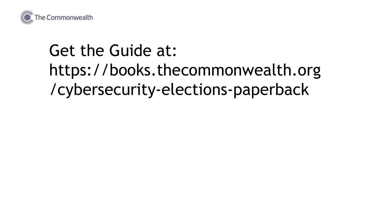

#### Get the Guide at: https://books.thecommonwealth.org /cybersecurity-elections-paperback